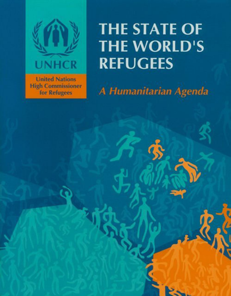

**United Nations High Commissioner** for Refugees

# **THE STATE OF THE WORLD'S REFUGEES**

A Humanitarian Agenda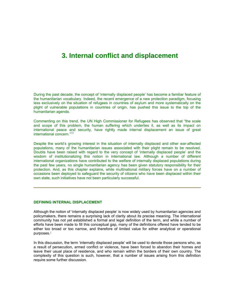# **3. Internal conflict and displacement**

During the past decade, the concept of 'internally displaced people' has become a familiar feature of the humanitarian vocabulary. Indeed, the recent emergence of a new protection paradigm, focusing less exclusively on the situation of refugees in countries of asylum and more systematically on the plight of vulnerable populations in countries of origin, has pushed this issue to the top of the humanitarian agenda.

Commenting on this trend, the UN High Commissioner for Refugees has observed that "the scale and scope of this problem, the human suffering which underlies it, as well as its impact on international peace and security, have rightly made internal displacement an issue of great international concern."[\(1](#page-19-0))

Despite the world's growing interest in the situation of internally displaced and other war-affected populations, many of the humanitarian issues associated with their plight remain to be resolved. Doubts have been raised with regard to the very concept of 'internally displaced people' and the wisdom of institutionalizing this notion in international law. Although a number of different international organizations have contributed to the welfare of internally displaced populations during the past few years, no single humanitarian agency has been given statutory responsibility for their protection. And, as this chapter explains, while multinational military forces have on a number of occasions been deployed to safeguard the security of citizens who have been displaced within their own state, such initiatives have not been particularly successful.

#### **DEFINING INTERNAL DISPLACEMENT**

Although the notion of 'internally displaced people' is now widely used by humanitarian agencies and policymakers, there remains a surprising lack of clarity about its precise meaning. The international community has not yet established a formal and legal definition of the term, and while a number of efforts have been made to fill this conceptual gap, many of the definitions offered have tended to be either too broad or too narrow, and therefore of limited value for either analytical or operational purposes.<sup>2</sup>

In this discussion, the term 'internally displaced people' will be used to denote those persons who, as a result of persecution, armed conflict or violence, have been forced to abandon their homes and leave their usual place of residence, and who remain within the borders of their own country. The complexity of this question is such, however, that a number of issues arising from this definition require some further discussion.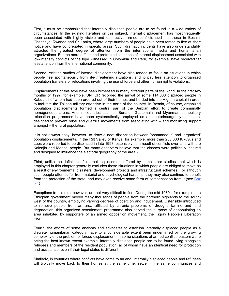First, it must be emphasized that internally displaced people are to be found in a wide variety of circumstances. In the existing literature on this subject, internal displacement has most frequently been associated with highly visible and destructive armed conflicts such as those in Bosnia, Chechnya, Rwanda and Sri Lanka, where large numbers of people have been forced to flee at short notice and have congregated in specific areas. Such dramatic incidents have also understandably attracted the greatest degree of attention from the international media and humanitarian organizations. But the more diffuse and protracted situations of internal displacement associated with low-intensity conflicts of the type witnessed in Colombia and Peru, for example, have received far less attention from the international community.

Second, existing studies of internal displacement have also tended to focus on situations in which people flee spontaneously from life-threatening situations, and to pay less attention to organized population transfers or relocations involving the use of force and other human rights violations.

Displacements of this type have been witnessed in many different parts of the world. In the first two months of 1997, for example, UNHCR recorded the arrival of some 114,000 displaced people in Kabul, all of whom had been ordered out of their homes and herded into the Afghan capital in order to facilitate the Taliban military offensive in the north of the country. In Bosnia, of course, organized population displacements formed a central part of the Serbian effort to create communally homogeneous areas. And in countries such as Burundi, Guatemala and Myanmar, compulsory relocation programmes have been systematically employed as a counterinsurgency technique, designed to prevent rebel and guerrilla movements from associating with – and mobilizing support amongst – the rural population.

It is not always easy, however, to draw a neat distinction between 'spontaneous' and 'organized' population displacements. In the Rift Valley of Kenya, for example, more than 250,000 Kikuyus and Luos were reported to be displaced in late 1993, ostensibly as a result of conflicts over land with the Kalenjin and Maasai people. But many observers believe that the clashes were politically inspired and designed to influence the electoral geography of the area.<sup>3</sup>

Third, unlike the definition of internal displacement offered by some other studies, that which is employed in this chapter generally excludes those situations in which people are obliged to move as a result of environmental disasters, development projects and infrastructural schemes. For although such people often suffer from material and psychological hardship, they may also continue to benefit from the protection of the state, and may even receive some form of compensation from it (see Box [3.1\).](#page-23-0)

Exceptions to this rule, however, are not very difficult to find. During the mid-1980s, for example, the Ethiopian government moved many thousands of people from the northern highlands to the southwest of the country, employing varying degrees of coercion and inducement. Ostensibly introduced to remove people from an area afflicted by chronic problems of drought, famine and land degradation, this organized resettlement programme also served the purpose of depopulating an area inhabited by supporters of an armed opposition movement, the Tigray People's Liberation Front.

Fourth, the efforts of some analysts and advocates to establish internally displaced people as a discrete humanitarian category have to a considerable extent been undermined by the growing complexity of the problem of forced displacement. In some situations of armed conflict, eastern Zaire being the best-known recent example, internally displaced people are to be found living alongside refugees and members of the resident population, all of whom have an identical need for protection and assistance, even if their legal status is different.

Similarly, in countries where conflicts have come to an end, internally displaced people and refugees will typically move back to their homes at the same time, settle in the same communities and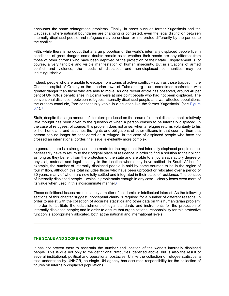encounter the same reintegration problems. Finally, in areas such as former Yugoslavia and the Caucasus, where national boundaries are changing or contested, even the legal distinction between internally displaced people and refugees may be unclear, or interpreted differently by the parties to the conflict.

Fifth, while there is no doubt that a large proportion of the world's internally displaced people live in conditions of great danger, some doubts remain as to whether their needs are any different from those of other citizens who have been deprived of the protection of their state. Displacement is, of course, a very tangible and visible manifestation of human insecurity. But in situations of armed conflict and violence, the needs of displaced and non-displaced communities may be indistinguishable.

Indeed, people who are unable to escape from zones of active conflict – such as those trapped in the Chechen capital of Grozny or the Liberian town of Tubmanburg – are sometimes confronted with greater danger than those who are able to move. As one recent article has observed, around 40 per cent of UNHCR's beneficiaries in Bosnia were at one point people who had not been displaced. The conventional distinction between refugees, internally displaced people and war-affected populations, the authors conclude, "are conceptually vapid in a situation like the former Yugoslavia" (see Figure  $3.1$ ).  $4$ 

Sixth, despite the large amount of literature produced on the issue of internal displacement, relatively little thought has been given to the question of when a person ceases to be internally displaced. In the case of refugees, of course, this problem does not arise: when a refugee returns voluntarily to his or her homeland and assumes the rights and obligations of other citizens in that country, then that person can no longer be considered as a refugee. In the case of displaced people who have not crossed an international border, the issue is evidently more complex.

In general, there is a strong case to be made for the argument that internally displaced people do not necessarily have to return to their original place of residence in order to find a solution to their plight, as long as they benefit from the protection of the state and are able to enjoy a satisfactory degree of physical, material and legal security in the location where they have settled. In South Africa, for example, the number of internally displaced people is said by some sources to be in the region of four million, although this total includes those who have been uprooted or relocated over a period of 30 years, many of whom are now fully settled and integrated in their place of residence. The concept of internally displaced people – which is problematic enough in any case – clearly loses even more of its value when used in this indiscriminate manner.<sup>[5](#page-20-0)</sup>

These definitional issues are not simply a matter of academic or intellectual interest. As the following sections of this chapter suggest, conceptual clarity is required for a number of different reasons: in order to assist with the collection of accurate statistics and other data on this humanitarian problem; in order to facilitate the establishment of legal standards and instruments for the protection of internally displaced people; and in order to ensure that organizational responsibility for this protective function is appropriately allocated, both at the national and international levels.

#### **THE SCALE AND SCOPE OF THE PROBLEM**

It has not proven easy to ascertain the number and location of the world's internally displaced people. This is due not only to the definitional difficulties identified above, but is also the result of several institutional, political and operational obstacles. Unlike the collection of refugee statistics, a task undertaken by UNHCR, no single UN agency has assumed responsibility for the collection of figures on internally displaced populations.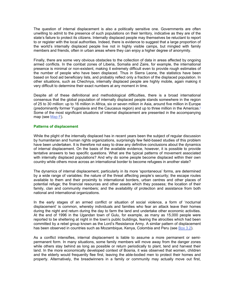The question of internal displacement is also a politically sensitive one. Governments are often unwilling to admit to the presence of such populations on their territory, indicative as they are of the state's failure to protect its citizens. Internally displaced people may themselves be reluctant to report to or register with the local authorities. Indeed, there is evidence to suggest that a large proportion of the world's internally displaced people live not in highly visible camps, but mingled with family members and friends, often in urban areas where they can enjoy a higher degree of anonymity.

Finally, there are some very obvious obstacles to the collection of data in areas affected by ongoing armed conflicts. In the combat zones of Liberia, Somalia and Zaire, for example, the international presence is minimal or non-existent, making it extremely difficult even to provide rough estimates of the number of people who have been displaced. Thus in Sierra Leone, the statistics have been based on food aid beneficiary lists, and probably reflect only a fraction of the displaced population. In other situations, such as Chechnya, internally displaced people are highly mobile, again making it very difficult to determine their exact numbers at any moment in time.

Despite all of these definitional and methodological difficulties, there is a broad international consensus that the global population of internally displaced people stands somewhere in the region of 25 to 30 million: up to 16 million in Africa, six or seven million in Asia, around five million in Europe (predominantly former Yugoslavia and the Caucasus region) and up to three million in the Americas.<sup>6</sup> Some of the most significant situations of internal displacement are presented in the accompanying map (see Map F).

#### **Patterns of displacement**

While the plight of the internally displaced has in recent years been the subject of regular discussion by humanitarian and human rights organizations, surprisingly few field-based studies of this problem have been undertaken. It is therefore not easy to draw any definitive conclusions about the dynamics of internal displacement. On the basis of the available evidence, however, it is possible to provide tentative answers to two specific questions. What are the typical patterns of movement associated with internally displaced populations? And why do some people become displaced within their own country while others move across an international border to become refugees in another state?

The dynamics of internal displacement, particularly in its more 'spontaneous' forms, are determined by a wide range of variables: the nature of the threat affecting people's security; the escape routes available to them and their proximity to international borders, urban centres and other places of potential refuge; the financial resources and other assets which they possess; the location of their family, clan and community members; and the availability of protection and assistance from both national and international organizations.

In the early stages of an armed conflict or situation of social violence, a form of 'nocturnal displacement' is common, whereby individuals and families who fear an attack leave their homes during the night and return during the day to farm the land and undertake other economic activities. At the end of 1996 in the Ugandan town of Gulu, for example, as many as 15,000 people were reported to be sheltering at night in the town's public buildings, fearing the atrocities which had been committed by a rebel group known as the Lord's Resistance Army. A similar pattern of displacement has been observed in countries such as Mozambique, Kenya, Colombia and Peru (se[e Box 3.2\).](#page-26-0)

As a conflict intensifies, internal displacement is liable to assume a more permanent or semipermanent form. In many situations, some family members will move away from the danger zones while others stay behind as long as possible or return periodically to plant, tend and harvest their land. In the more economically developed context of Bosnia, it was observed that women, children and the elderly would frequently flee first, leaving the able-bodied men to protect their homes and property. Alternatively, the breadwinners in a family or community may actually move out first,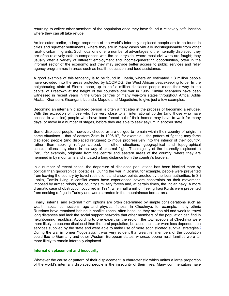returning to collect other members of the population once they have found a relatively safe location where they can all take refuge.

As indicated earlier, a large proportion of the world's internally displaced people are to be found in cities and squatter settlements, where they are in many cases virtually indistinguishable from other rural-to-urban migrants. Such locations offer a number of advantages to the internally displaced: they are often relatively safe in comparison with the countryside, where most civil wars are fought; they usually offer a variety of different employment and income-generating opportunities, often in the informal sector of the economy; and they may provide better access to public services and relief agency programmes in areas such as health, education and food assistance.

A good example of this tendency is to be found in Liberia, where an estimated 1.3 million people have crowded into the areas protected by ECOMOG, the West African peacekeeping force. In the neighbouring state of Sierra Leone, up to half a million displaced people made their way to the capital of Freetown at the height of the country's civil war in 1995. Similar scenarios have been witnessed in recent years in the urban centres of many war-torn states throughout Africa: Addis Ababa, Khartoum, Kisangani, Luanda, Maputo and Mogadishu, to give just a few examples.

Becoming an internally displaced person is often a first step in the process of becoming a refugee. With the exception of those who live very close to an international border (and those who have access to vehicles) people who have been forced out of their homes may have to walk for many days, or move in a number of stages, before they are able to seek asylum in another state.

Some displaced people, however, choose or are obliged to remain within their country of origin. In some situations – that of eastern Zaire in 1996-97, for example – the pattern of fighting may force displaced people (and displaced refugees) to move progressively into the interior of their country, rather than seeking refuge abroad. In other situations, geographical and topographical considerations may stand in the way of external flight. The majority of the internally displaced in Peru, for example, originate from the central and eastern areas of the country, where they are hemmed in by mountains and situated a long distance from the country's borders.

In a number of recent crises, the departure of displaced populations has been blocked more by political than geographical obstacles. During the war in Bosnia, for example, people were prevented from leaving the country by travel restrictions and check points erected by the local authorities. In Sri Lanka, Tamils living in conflict zones have experienced severe constraints on their movement, imposed by armed rebels, the country's military forces and, at certain times, the Indian navy. A more dramatic case of obstruction occurred in 1991, when half a million fleeing Iraqi Kurds were prevented from seeking refuge in Turkey and were stranded in the mountainous border area.

Finally, internal and external flight options are often determined by simple considerations such as wealth, social connections, age and physical fitness. In Chechnya, for example, many ethnic Russians have remained behind in conflict zones, often because they are too old and weak to travel long distances and lack the social support networks that other members of the population can find in neighbouring republics. According to one expert on the region, the townspeople of Chechnya were more likely to become displaced than the rural population, because the latter were less dependent on services supplied by the state and were able to make use of more sophisticated survival strategies.<sup>7</sup> During the war in former Yugoslavia, it was very evident that wealthier members of the population could flee to Germany and other Western European states, whereas poorer rural families were far more likely to remain internally displaced.

#### **Internal displacement and insecurity**

Whatever the cause or pattern of their displacement, a characteristic which unites a large proportion of the world's internally displaced people is the insecurity of their lives. Many commentators have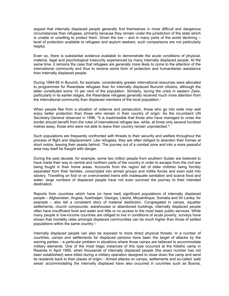argued that internally displaced people generally find themselves in more difficult and dangerous circumstances than refugees, primarily because they remain under the jurisdiction of the state which is unable or unwilling to protect them. Given the low  $-$  and in many parts of the world declining  $$ level of protection available to refugees and asylum seekers, such comparisons are not particularly helpful.

Even so, there is substantial evidence available to demonstrate the acute conditions of physical, material, legal and psychological insecurity experienced by many internally displaced people. At the same time, it remains the case that refugees are generally more likely to come to the attention of the international community and thus to receive some form of protection and humanitarian assistance than internally displaced people.

During 1994-95 in Burundi, for example, considerably greater international resources were allocated to programmes for Rwandese refugees than for internally displaced Burundi citizens, although the latter constituted some 10 per cent of the population. Similarly, during the crisis in eastern Zaire, particularly in its earlier stages, the Rwandese refugees generally received much more attention from the international community than displaced members of the local population. $8$ 

When people flee from a situation of violence and persecution, those who go into exile may well enjoy better protection than those who remain in their country of origin. As the incumbent UN Secretary-General observed in 1996, "it is inadmissible that those who have managed to cross the border should benefit from the rules of international refugee law, while, at times only several hundred metres away, those who were not able to leave their country remain unprotected.["9](#page-20-0)

Such populations are frequently confronted with threats to their security and welfare throughout the process of flight and displacement. Like refugees, they are often obliged to abandon their homes at short notice, leaving their assets behind. The journey out of a combat zone and into a more peaceful area may itself be fraught with danger.

During the past decade, for example, some two million people from southern Sudan are believed to have made their way to central and northern parts of the country in order to escape from the civil war being fought in their home areas. Accounts from the region tell of older children being forcibly separated from their families, conscripted into armed groups and militia forces and even sold into slavery. Travelling on foot or on overcrowded trains with inadequate sanitation and scarce food and water, large numbers of displaced people have not even survived the journey to their intended destination.

Reports from countries which have (or have had) significant populations of internally displaced people – Afghanistan, Angola, Azerbaijan, Georgia, Liberia, Mozambique, Somalia and Sri Lanka, for example – also tell a consistent story of material destitution. Congregated in camps, squatter settlements, church compounds, warehouses or abandoned buildings, internally displaced people often have insufficient food and water and little or no access to the most basic public services. While many people in low-income countries are obliged to live in conditions of acute poverty, surveys have shown that mortality rates amongst displaced communities can be much higher than those of settled populations within the same country.[10](#page-20-0)

Internally displaced people can also be exposed to more direct physical threats. In a number of countries, camps and settlements for displaced persons have been the target of attacks by the warring parties – a particular problem in situations where those camps are believed to accommodate military elements. One of the most tragic instances of this type occurred at the Kibeho camp in Rwanda in April 1995, when thousands of internally displaced people (the exact number has not been established) were killed during a military operation designed to close down the camp and send its residents back to their places of origin.<sup>[11](#page-20-0)</sup> Armed attacks on camps, settlements and so-called 'safe areas' accommodating the internally displaced have also occurred in countries such as Bosnia,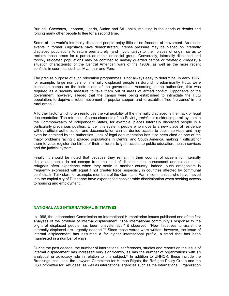Burundi, Chechnya, Lebanon, Liberia, Sudan and Sri Lanka, resulting in thousands of deaths and forcing many other people to flee for a second time.

Some of the world's internally displaced people enjoy little or no freedom of movement. As recent events in former Yugoslavia have demonstrated, intense pressure may be placed on internally displaced populations to return prematurely (and involuntarily) to their places of origin, so as to reclaim those areas for a particular ethnic or social group. Conversely, internally displaced and forcibly relocated populations may be confined to heavily guarded camps or 'strategic villages', a situation characteristic of the Central American wars of the 1980s, as well as the more recent conflicts in countries such as Myanmar and Peru.

The precise purpose of such relocation programmes is not always easy to determine. In early 1997, for example, large numbers of internally displaced people in Burundi, predominantly Hutu, were placed in camps on the instructions of the government. According to the authorities, this was required as a security measure to take them out of areas of armed conflict. Opponents of the government, however, alleged that the camps were being established to intimidate the Hutu population, to deprive a rebel movement of popular support and to establish 'free-fire zones' in the rural areas. $12$ 

A further factor which often reinforces the vulnerability of the internally displaced is their lack of legal documentation. The retention of some elements of the Soviet *propiska* or residence permit system in the Commonwealth of Independent States, for example, places internally displaced people in a particularly precarious position. Under this system, people who move to a new place of residence without official authorization and documentation can be denied access to public services and may even be detained by the authorities. Lack of legal documentation has also been cited as one of the major problems facing displaced populations in Central and South America, making it difficult for them to vote, register the births of their children, to gain access to public education, health services and the judicial system.

Finally, it should be noted that because they remain in their country of citizenship, internally displaced people do not escape from the kind of discrimination, harassment and rejection that refugees often experience when they settle in another country. Indeed, such antagonism is frequently expressed with equal if not greater force, especially in countries affected by communal conflicts. In Tajikistan, for example, members of the Garmi and Pamiri communities who have moved into the capital city of Dushanbe have experienced considerable discrimination when seeking access to housing and employment .

#### **NATIONAL AND INTERNATIONAL INITIATIVES**

In 1986, the Independent Commission on International Humanitarian Issues published one of the first analyses of the problem of internal displacement. "The international community's response to the plight of displaced people has been unsystematic," it observed. "New initiatives to assist the internally displaced are urgently needed."[13](#page-20-0) Since those words were written, however, the issue of internal displacement has assumed a far higher international profile, a trend that has been manifested in a number of ways.

During the past decade, the number of international conferences, studies and reports on the issue of internal displacement has increased very significantly, as has the number of organizations with an analytical or advocacy role in relation to this subject. $14$  In addition to UNHCR, these include the Brookings Institution, the Lawyers Committee for Human Rights, the Refugee Policy Group and the US Committee for Refugees, as well as international agencies such as the International Organization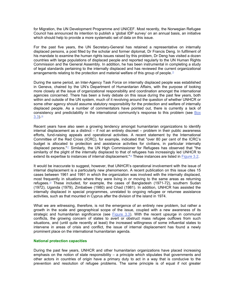for Migration, the UN Development Programme and UNICEF. Most recently, the Norwegian Refugee Council has announced its intention to publish a 'global IDP survey' on an annual basis, an initiative which should help to provide a more systematic set of data on this issue.

For the past five years, the UN Secretary-General has retained a representative on internally displaced persons, a post filled by the scholar and former diplomat, Dr Francis Deng. In fulfilment of his mandate to examine the human rights issues raised by this problem, Dr Deng has visited a dozen countries with large populations of displaced people and reported regularly to the UN Human Rights Commission and the General Assembly. In addition, he has been instrumental in completing a study of legal standards pertaining to the internally displaced and has reviewed the current organizational arrangements relating to the protection and material welfare of this group of people.[15](#page-20-0)

During the same period, an Inter-Agency Task Force on internally displaced people was established in Geneva, chaired by the UN's Department of Humanitarian Affairs, with the purpose of looking more closely at the issue of organizational responsibility and coordination amongst the international agencies concerned. There has been a lively debate on this issue during the past few years, both within and outside of the UN system, much of it revolving around the question of whether UNHCR or some other agency should assume statutory responsibility for the protection and welfare of internally displaced people. As a number of commentators have pointed out, there is currently a lack of consistency and predictability in the international community's response to this problem (see [Box](#page-30-0)   $3.3)$ .<sup>[16](#page-20-0)</sup>

Recent years have also seen a growing tendency amongst humanitarian organizations to identify internal displacement as a distinct – if not an entirely discreet – problem in their public awareness efforts, fund-raising appeals and operational activities. A recent statement by the International Committee of the Red Cross (ICRC), for example, indicated that "over 80 per cent of the ICRC's budget is allocated to protection and assistance activities for civilians, in particular internally displaced persons.["17](#page-20-0) Similarly, the UN High Commissioner for Refugees has observed that "the similarity of the plight of the internally displaced to that of refugees has increasingly led UNHCR to extend its expertise to instances of internal displacement."<sup>18</sup> These instances are listed in Figure 3.2.

It would be inaccurate to suggest, however, that UNHCR's operational involvement with the issue of internal displacement is a particularly new phenomenon. A recent publication on this issue cites 15 cases between 1961 and 1991 in which the organization was involved with the internally displaced, most frequently in situations where they were living in or moving to the same areas as returning refugees.[19](#page-20-0) These included, for example, the cases of Bangladesh (1971-72), southern Sudan (1972), Uganda (1979), Zimbabwe (1980) and Chad (1981). In addition, UNHCR has assisted the internally displaced in special programmes, unrelated to ongoing refugee or returnee assistance activities, such as that mounted in Cyprus after the division of the island in 1974.

What we are witnessing, therefore, is not the emergence of an entirely new problem, but rather a growth in the scale and geographical scope of the issue, coupled with a new awareness of its strategic and humanitarian significance (see [Figure 3.3\).](#page-39-0) With the recent upsurge in communal conflicts, the growing concern of states to avert or obstruct mass refugee outflows from such situations, and (until quite recently at least) the increased willingness of some influential states to intervene in areas of crisis and conflict, the issue of internal displacement has found a newly prominent place on the international humanitarian agenda.

#### **National protection capacities**

During the past few years, UNHCR and other humanitarian organizations have placed increasing emphasis on the notion of state responsibility – a principle which stipulates that governments and other actors in countries of origin have a primary duty to act in a way that is conducive to the prevention and resolution of refugee problems. The same principle is of equal if not greater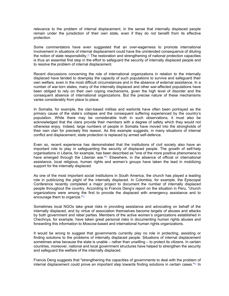relevance to the problem of internal displacement, in the sense that internally displaced people remain under the jurisdiction of their own state, even if they do not benefit from its effective protection.

Some commentators have even suggested that an over-eagerness to promote international involvement in situations of internal displacement could have the unintended consequence of diluting the notion of state responsibility.<sup>[20](#page-20-0)</sup> The restoration and strengthening of national protection capacities is thus an essential first step in the effort to safeguard the security of internally displaced people and to resolve the problem of internal displacement.

Recent discussions concerning the role of international organizations in relation to the internally displaced have tended to downplay the capacity of such populations to survive and safeguard their own welfare, even in the most difficult circumstances and in the absence of external assistance. In a number of war-torn states, many of the internally displaced and other war-affected populations have been obliged to rely on their own coping mechanisms, given the high level of disorder and the consequent absence of international organizations. But the precise nature of these mechanisms varies considerably from place to place.

In Somalia, for example, the clan-based militias and warlords have often been portrayed as the primary cause of the state's collapse and the consequent suffering experienced by the country's population. While there may be considerable truth in such observations, it must also be acknowledged that the clans provide their members with a degree of safety which they would not otherwise enjoy. Indeed, large numbers of people in Somalia have moved into the strongholds of their own clan for precisely this reason. As this example suggests, in many situations of internal conflict and displacement, state protection is replaced by armed self-defence.

Even so, recent experience has demonstrated that the institutions of civil society also have an important role to play in safeguarding the security of displaced people. The growth of self-help organisations in Liberia, for example, has been described as "one of the more positive phenomena to have emerged through the Liberian war."<sup>21</sup> Elsewhere, in the absence of official or international assistance, local religious, human rights and women's groups have taken the lead in mobilizing support for the internally displaced.

As one of the most important social institutions in South America, the church has played a leading role in publicizing the plight of the internally displaced. In Colombia, for example, the Episcopal Conference recently completed a major project to document the number of internally displaced people throughout the country. According to Francis Deng's report on the situation in Peru, "church organizations were among the first to provide the displaced with emergency assistance and to encourage them to organize." $22$ 

Sometimes local NGOs take great risks in providing assistance and advocating on behalf of the internally displaced, and by virtue of association themselves become targets of abuses and attacks by both government and rebel parties. Members of the active women's organizations established in Chechnya, for example, have taken great personal risks in documenting human rights abuses and forwarding this information to Moscow-based and international human rights organizations.

It would be wrong to suggest that governments currently play no role in protecting, assisting or finding solutions to the problems of internally displaced people. Situations of internal displacement sometimes arise because the state is unable – rather than unwilling – to protect its citizens. In certain countries, moreover, national and local government structures have helped to strengthen the security and safeguard the welfare of the internally displaced.

Francis Deng suggests that "strengthening the capacities of governments to deal with the problem of internal displacement could prove an important step towards finding solutions in certain cases."<sup>[23](#page-21-0)</sup> In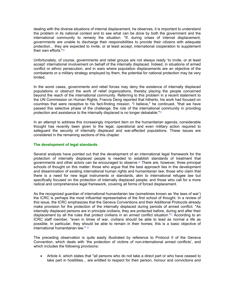dealing with the diverse situations of internal displacement, he observes, it is important to understand the problem in its national context and to see what can be done by both the government and the international community to remedy the situation. "If, during crises of internal displacement, governments are unable to discharge their responsibilities to provide their citizens with adequate protection... they are expected to invite, or at least accept, international cooperation to supplement their own efforts." $24$ 

Unfortunately, of course, governments and rebel groups are not always ready 'to invite, or at least accept' international involvement on behalf of the internally displaced. Indeed, in situations of armed conflict or ethnic persecution, and in wars where population displacements are an objective of the combatants or a military strategy employed by them, the potential for national protection may be very limited.

In the worst cases, governments and rebel forces may deny the existence of internally displaced populations or obstruct the work of relief organizations, thereby placing the people concerned beyond the reach of the international community. Referring to this problem in a recent statement to the UN Commission on Human Rights, Francis Deng reported that hitherto, his work had focused on countries that were receptive to his fact-finding mission. "I believe," he continued, "that we have passed this selective phase of the challenge; the role of the international community in providing protection and assistance to the internally displaced is no longer debatable."<sup>25</sup>

In an attempt to address this increasingly important item on the humanitarian agenda, considerable thought has recently been given to the legal, operational and even military action required to safeguard the security of internally displaced and war-affected populations. These issues are considered in the remaining sections of this chapter.

#### **The development of legal standards**

Several analysts have pointed out that the development of an international legal framework for the protection of internally displaced people is needed to establish standards of treatment that governments and other actors can be encouraged to observe.[26](#page-21-0) There are, however, three principal schools of thought on this matter: those who argue that the best approach lies in the development and dissemination of existing international human rights and humanitarian law; those who claim that there is a need for new legal instruments or standards, akin to international refugee law but specifically focused on the protection of internally displaced people; and those who call for a more radical and comprehensive legal framework, covering all forms of forced displacement.

As the recognized guardian of international humanitarian law (sometimes known as 'the laws of war') the ICRC is perhaps the most influential representative of the first school of thought. In a review of this issue, the ICRC emphasizes that the Geneva Conventions and their Additional Protocols already make provision for the protection of the internally displaced during periods of armed conflict. "As internally displaced persons are in principle civilians, they are protected before, during and after their displacement by all the rules that protect civilians in an armed conflict situation." $27$  According to an ICRC staff member, "even in times of war, civilians should be able to lead as normal a life as possible. In particular, they should be able to remain in their homes; this is a basic objective of international humanitarian law." $28$ 

The preceding observation is quite easily illustrated by reference to Protocol II of the Geneva Convention, which deals with 'the protection of victims of non-international armed conflicts', and which includes the following provisions:

• Article 4, which states that "all persons who do not take a direct part or who have ceased to take part in hostilities... are entitled to respect for their person, honour and convictions and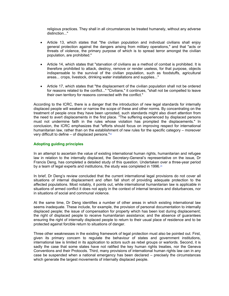religious practices. They shall in all circumstances be treated humanely, without any adverse distinction..."

- Article 13, which states that "the civilian population and individual civilians shall enjoy general protection against the dangers arising from military operations," and that "acts or threats of violence, the primary purpose of which is to spread terror amongst the civilian population, are prohibited."
- Article 14, which states that "starvation of civilians as a method of combat is prohibited. It is therefore prohibited to attack, destroy, remove or render useless, for that purpose, objects indispensable to the survival of the civilian population, such as foodstuffs, agricultural areas... crops, livestock, drinking water installations and supplies..."
- Article 17, which states that "the displacement of the civilian population shall not be ordered for reasons related to the conflict..." "Civilians," it continues, "shall not be compelled to leave their own territory for reasons connected with the conflict."

According to the ICRC, there is a danger that the introduction of new legal standards for internally displaced people will weaken or narrow the scope of these and other norms. By concentrating on the treatment of people once they have been uprooted, such standards might also divert attention from the need to avert displacements in the first place. "The suffering experienced by displaced persons must not undermine faith in the rules whose violation has prompted the displacements." In conclusion, the ICRC emphasizes that "efforts should focus on improving respect for international humanitarian law, rather than on the establishment of new rules for the specific category – moreover very difficult to define – of displaced persons."<sup>29</sup>

#### **Adopting guiding principles**

In an attempt to ascertain the value of existing international human rights, humanitarian and refugee law in relation to the internally displaced, the Secretary-General's representative on the issue, Dr Francis Deng, has completed a detailed study of this question. Undertaken over a three-year period by a team of legal experts and institutions, the study was completed in 1996. $\frac{30}{2}$ 

In brief, Dr Deng's review concluded that the current international legal provisions do not cover all situations of internal displacement and often fall short of providing adequate protection to the affected populations. Most notably, it points out, while international humanitarian law is applicable in situations of armed conflict it does not apply in the context of internal tensions and disturbances, nor in situations of social and communal violence.

At the same time, Dr Deng identifies a number of other areas in which existing international law seems inadequate. These include, for example, the provision of personal documentation to internally displaced people; the issue of compensation for property which has been lost during displacement; the right of displaced people to receive humanitarian assistance; and the absence of guarantees ensuring the right of internally displaced people to return to their usual place of residence and to be protected against forcible return to situations of danger.

Three other weaknesses in the existing framework of legal protection must also be pointed out. First, given its primary concern to regulate the behaviour of states and government institutions, international law is limited in its application to actors such as rebel groups or warlords. Second, it is sadly the case that some states have not ratified the key human rights treaties, nor the Geneva Conventions and their Protocols. Third, many provisions of international human rights law can in any case be suspended when a national emergency has been declared – precisely the circumstances which generate the largest movements of internally displaced people.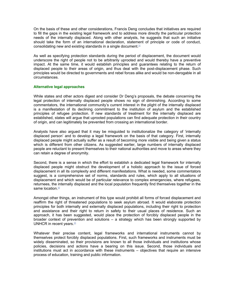On the basis of these and other considerations, Francis Deng concludes that initiatives are required to fill the gaps in the existing legal framework and to address more directly the particular protection needs of the internally displaced. Along with other analysts, he suggests that such an initiative should take the form of an international declaration, statement of principle or code of conduct, consolidating new and existing standards in a single document. $31$ 

As well as specifying protection standards during the period of displacement, the document would underscore the right of people not to be arbitrarily uprooted and would thereby have a preventive impact. At the same time, it would establish principles and guarantees relating to the return of displaced people to their areas of origin, and thus deal with the post-displacement phase. Such principles would be directed to governments and rebel forces alike and would be non-derogable in all circumstances.

#### **Alternative legal approaches**

While states and other actors digest and consider Dr Deng's proposals, the debate concerning the legal protection of internally displaced people shows no sign of diminishing. According to some commentators, the international community's current interest in the plight of the internally displaced is a manifestation of its declining commitment to the institution of asylum and the established principles of refugee protection. If new standards of treatment for the internally displaced are established, states will argue that uprooted populations can find adequate protection in their country of origin, and can legitimately be prevented from crossing an international border.

Analysts have also argued that it may be misguided to institutionalize the category of 'internally displaced person' and to develop a legal framework on the basis of that category. First, internally displaced people might actually suffer as a result of becoming more visible and being given a status which is different from other citizens. As suggested earlier, large numbers of internally displaced people are reluctant to present themselves to their national authorities and move to areas where they can retain a degree of anonymity.

Second, there is a sense in which the effort to establish a dedicated legal framework for internally displaced people might obstruct the development of a holistic approach to the issue of forced displacement in all its complexity and different manifestations. What is needed, some commentators suggest, is a comprehensive set of norms, standards and rules, which apply to all situations of displacement and which would be of particular relevance to complex emergencies, where refugees, returnees, the internally displaced and the local population frequently find themselves together in the same location. $32$ 

Amongst other things, an instrument of this type would prohibit all forms of forced displacement and reaffirm the right of threatened populations to seek asylum abroad. It would elaborate protection principles for both internally and externally displaced populations, including their right to protection and assistance and their right to return in safety to their usual places of residence. Such an approach, it has been suggested, would place the protection of forcibly displaced people in the broader context of prevention and solutions – a strategy which has been strongly supported by UNHCR in recent years.<sup>[33](#page-21-0)</sup>

Whatever their precise content, legal frameworks and international instruments cannot by themselves protect forcibly displaced populations. First, such frameworks and instruments must be widely disseminated, so their provisions are known to all those individuals and institutions whose policies, decisions and actions have a bearing on this issue. Second, those individuals and institutions must act in accordance with these instruments – objectives that require an intensive process of education, training and public information.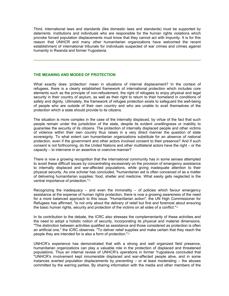Third, international laws and standards (like domestic laws and standards) must be supported by deterrents. Institutions and individuals who are responsible for the human rights violations which provoke forced population displacements must know that they cannot act with impunity. It is for this reason that UNHCR and many other humanitarian organizations have welcomed the recent establishment of international tribunals for individuals suspected of war crimes and crimes against humanity in Rwanda and former Yugoslavia.

#### **THE MEANING AND MODES OF PROTECTION**

What exactly does 'protection' mean in situations of internal displacement? In the context of refugees, there is a clearly established framework of international protection which includes core elements such as the principle of non-refoulement, the right of refugees to enjoy physical and legal security in their country of asylum, as well as their right to return to their homeland in conditions of safety and dignity. Ultimately, the framework of refugee protection exists to safeguard the well-being of people who are outside of their own country and who are unable to avail themselves of the protection which a state should provide to its citizens.

The situation is more complex in the case of the internally displaced, by virtue of the fact that such people remain under the jurisdiction of the state, despite its evident unwillingness or inability to guarantee the security of its citizens. The protection of internally displaced people and other victims of violence within their own country thus raises in a very direct manner the question of state sovereignty. To what extent can humanitarian organizations substitute for an absence of national protection, even if the government and other actors involved consent to their presence? And if such consent is not forthcoming, do the United Nations and other multilateral actors have the right – or the capacity – to intervene in an assertive or coercive manner?

There is now a growing recognition that the international community has in some senses attempted to avoid these difficult issues by concentrating excessively on the provision of emergency assistance to internally displaced and war-affected populations, while giving inadequate attention to their physical security. As one scholar has concluded, "humanitarian aid is often conceived of as a matter of delivering humanitarian supplies: food, shelter and medicine. What easily gets neglected is the central importance of protection."<sup>[34](#page-21-0)</sup>

Recognizing the inadequacy – and even the immorality – of policies which favour emergency assistance at the expense of human rights protection, there is now a growing awareness of the need for a more balanced approach to this issue. "Humanitarian action", the UN High Commissioner for Refugees has affirmed, "is not only about the delivery of relief but first and foremost about ensuring the basic human rights, security and protection of the victims on all sides of a conflict."<sup>[35](#page-21-0)</sup>

In its contribution to the debate, the ICRC also stresses the complementarity of these activities and the need to adopt a holistic notion of security, incorporating its physical and material dimensions. "The distinction between activities qualified as assistance and those considered as protection is often an artificial one," the ICRC observes. "To deliver relief supplies and make certain that they reach the people they are intended for is also a form of protection.["36](#page-21-0)

UNHCR's experience has demonstrated that with a strong and well organized field presence, humanitarian organizations can play a valuable role in the protection of displaced and threatened populations. Thus an internal review of UNHCR's operations in former Yugoslavia concluded that "UNHCR's involvement kept innumerable displaced and war-affected people alive, and in some instances averted population displacements by preventing – or at least moderating – the abuses committed by the warring parties. By sharing information with the media and other members of the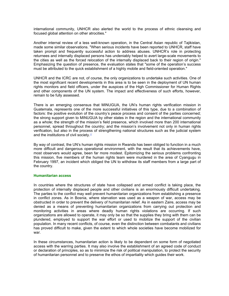international community, UNHCR also alerted the world to the process of ethnic cleansing and focused global attention on other atrocities."

Another internal review of a less well-known operation, in the Central Asian republic of Tajikistan, made some similar observations. "When serious incidents have been reported to UNHCR, staff have taken prompt and frequently successful action to address abuses. UNHCR's role in protecting returnees and internally displaced persons has undeniably helped to avert large-scale movements to the cities as well as the forced relocation of the internally displaced back to their region of origin." Emphasizing the question of presence, the evaluation states that "some of the operation's success must be attributed to the quick establishment of a highly mobile and field-oriented operation."

UNHCR and the ICRC are not, of course, the only organizations to undertake such activities. One of the most significant recent developments in this area is to be seen in the deployment of UN human rights monitors and field officers, under the auspices of the High Commissioner for Human Rights and other components of the UN system. The impact and effectiveness of such efforts, however, remain to be fully assessed.

There is an emerging consensus that MINUGUA, the UN's human rights verification mission in Guatemala, represents one of the more successful initiatives of this type, due to a combination of factors: the positive evolution of the country's peace process and consent of the parties concerned; the strong support given to MINUGUA by other states in the region and the international community as a whole; the strength of the mission's field presence, which involved more than 200 international personnel, spread throughout the country; and the mission's involvement not only in human rights verification, but also in the process of strengthening national structures such as the judicial system and the institutions of civil society. $37$ 

By way of contrast, the UN's human rights mission in Rwanda has been obliged to function in a much more difficult and dangerous operational environment, with the result that its achievements have, most observers would agree, been far more modest. Epitomizing the serious problems confronting this mission, five members of the human rights team were murdered in the area of Cyangugu in February 1997, an incident which obliged the UN to withdraw its staff members from a large part of the country.

#### **Humanitarian access**

In countries where the structures of state have collapsed and armed conflict is taking place, the protection of internally displaced people and other civilians is an enormously difficult undertaking. The parties to the conflict may well prevent humanitarian organizations from establishing a presence in conflict zones. As in Bosnia, where starvation was used as a weapon of war, access may be obstructed in order to prevent the delivery of humanitarian relief. As in eastern Zaire, access may be denied as a means of preventing humanitarian organizations from carrying out protection and monitoring activities in areas where deadly human rights violations are occurring. If such organizations are allowed to operate, it may only be so that the supplies they bring with them can be plundered, employed to support the war effort or used to mobilize the support of the civilian population. In many recent conflicts, of course, even the distinction between combatants and civilians has proved difficult to make, given the extent to which whole societies have become mobilized for war.

In these circumstances, humanitarian action is likely to be dependent on some form of negotiated access with the warring parties. It may also involve the establishment of an agreed code of conduct or declaration of principles, so as to minimize the risk of political manipulation, to protect the security of humanitarian personnel and to preserve the ethos of impartiality which guides their work.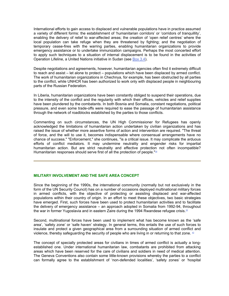International efforts to gain access to displaced and vulnerable populations have in practice assumed a variety of different forms: the establishment of 'humanitarian corridors' or 'corridors of tranquillity', enabling the delivery of relief to war-affected areas; the creation of 'open relief centres' where the local population can take refuge when they are threatened by fighting; and the negotiation of temporary cease-fires with the warring parties, enabling humanitarian organizations to provide emergency assistance or to undertake immunization campaigns. Perhaps the most concerted effort to apply such techniques to a situation of internal displacement is to be found in the activities of Operation Lifeline, a United Nations initiative in Sudan (se[e Box 3.4\).](#page-34-0)

Despite negotiations and agreements, however, humanitarian agencies often find it extremely difficult to reach and assist – let alone to protect – populations which have been displaced by armed conflict. The work of humanitarian organizations in Chechnya, for example, has been obstructed by all parties to the conflict, while UNHCR has been authorized to work only with displaced people in neighbouring parts of the Russian Federation.

In Liberia, humanitarian organizations have been constantly obliged to suspend their operations, due to the intensity of the conflict and the regularity with which their offices, vehicles and relief supplies have been plundered by the combatants. In both Bosnia and Somalia, constant negotiations, political pressure, and even some trade-offs were required to ease the passage of humanitarian assistance through the network of roadblocks established by the parties to those conflicts.

Commenting on such circumstances, the UN High Commissioner for Refugees has openly acknowledged the limitations of humanitarian action undertaken by civilian organizations and has raised the issue of whether more assertive forms of action and intervention are required. "The threat of force, and the will to use it, becomes indispensable where consensual arrangements have no chance of success." "Enforcement," she continues, "is a critical issue. It may complicate the arduous efforts of conflict mediators. It may undermine neutrality and engender risks for impartial humanitarian action. But are strict neutrality and effective protection not often incompatible? Humanitarian responses should serve first of all the protection of people."<sup>[38](#page-21-0)</sup>

#### **MILITARY INVOLVEMENT AND THE SAFE AREA CONCEPT**

Since the beginning of the 1990s, the international community (normally but not exclusively in the form of the UN Security Council) has on a number of occasions deployed multinational military forces in armed conflicts, with the objective of protecting or assisting displaced and war-affected populations within their country of origin. In an effort to meet these objectives, two basic strategies have emerged. First, such forces have been used to protect humanitarian activities and to facilitate the delivery of emergency assistance – an approach adopted in Somalia from 1992-94, throughout the war in former Yugoslavia and in eastern Zaire during the 1994 Rwandese refugee crisis.<sup>[39](#page-21-0)</sup>

Second, multinational forces have been used to implement what has become known as the 'safe area', 'safety zone' or 'safe haven' strategy. In general terms, this entails the use of such forces to insulate and protect a given geographical area from a surrounding situation of armed conflict and violence, thereby safeguarding the security of people who are living in or returning to that zone.  $40$ 

The concept of specially protected areas for civilians in times of armed conflict is actually a longestablished one. Under international humanitarian law, combatants are prohibited from attacking areas which have been reserved for the care of civilians and soldiers in need of medical attention. The Geneva Conventions also contain some little-known provisions whereby the parties to a conflict can formally agree to the establishment of 'non-defended localities', 'safety zones' or 'hospital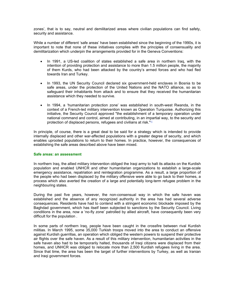zones', that is to say, neutral and demilitarized areas where civilian populations can find safety, security and assistance.

While a number of different 'safe areas' have been established since the beginning of the 1990s, it is important to note that none of these initiatives complies with the principles of consensuality and demilitarization which underpin the arrangements provided for in the Geneva Conventions:

- In 1991, a US-led coalition of states established a safe area in northern Iraq, with the intention of providing protection and assistance to more than 1.5 million people, the majority of them Kurds, who had been attacked by the country's armed forces and who had fled towards Iran and Turkey.
- In 1993, the UN Security Council declared six government-held enclaves in Bosnia to be safe areas, under the protection of the United Nations and the NATO alliance, so as to safeguard their inhabitants from attack and to ensure that they received the humanitarian assistance which they needed to survive.
- In 1994, a 'humanitarian protection zone' was established in south-west Rwanda, in the context of a French-led military intervention known as Operation Turquoise. Authorizing this initiative, the Security Council approved "the establishment of a temporary operation under national command and control, aimed at contributing, in an impartial way, to the security and protection of displaced persons, refugees and civilians at risk."[41](#page-22-0)

In principle, of course, there is a great deal to be said for a strategy which is intended to provide internally displaced and other war-affected populations with a greater degree of security, and which enables uprooted populations to return to their homes. In practice, however, the consequences of establishing the safe areas described above have been mixed.

#### **Safe areas: an assessment**

In northern Iraq, the allied military intervention obliged the Iraqi army to halt its attacks on the Kurdish population and enabled UNHCR and other humanitarian organizations to establish a large-scale emergency assistance, repatriation and reintegration programme. As a result, a large proportion of the people who had been displaced by the military offensive were able to go back to their homes, a process which also averted the creation of a large and potentially long-term refugee problem in the neighbouring states.

During the past five years, however, the non-consensual way in which the safe haven was established and the absence of any recognized authority in the area has had several adverse consequences. Residents have had to contend with a stringent economic blockade imposed by the Baghdad government, which has itself been subjected to sanctions by the Security Council. Living conditions in the area, now a 'no-fly zone' patrolled by allied aircraft, have consequently been very difficult for the population .

In some parts of northern Iraq, people have been caught in the crossfire between rival Kurdish militias. In March 1995, some 35,000 Turkish troops moved into the area to conduct an offensive against Kurdish guerrillas, an operation which obliged the western powers to suspend their protective air flights over the safe haven. As a result of this military intervention, humanitarian activities in the safe haven also had to be temporarily halted, thousands of Iraqi citizens were displaced from their homes, and UNHCR was obliged to relocate more than 2,500 Kurdish refugees living in the area. Since that time, the area has been the target of further interventions by Turkey, as well as Iranian and Iraqi government forces.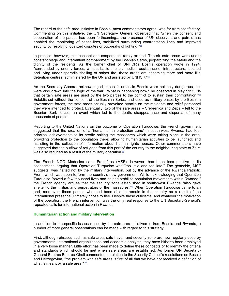The record of the safe area initiative in Bosnia, most commentators agree, was far from satisfactory. Commenting on this initiative, the UN Secretary- General observed that "when the consent and cooperation of the parties has been forthcoming... the presence of UN observers and patrols has enabled the monitoring of cease-fires, stabilized surrounding confrontation lines and improved security by resolving localized disputes or outbreaks of fighting."<sup>[42](#page-22-0)</sup>

In practice, however, this 'consent and cooperation' rarely existed. The six safe areas were under constant siege and intermittent bombardment by the Bosnian Serbs, jeopardizing the safety and the dignity of the residents. As the former chief of UNHCR's Bosnia operation wrote in 1994, "surrounded by enemy forces, without basic shelter, medical assistance or infrastructure, isolated and living under sporadic shelling or sniper fire, these areas are becoming more and more like detention centres, administered by the UN and assisted by UNHCR.<sup>"[43](#page-22-0)</sup>

As the Secretary-General acknowledged, the safe areas in Bosnia were not only dangerous, but were also drawn into the logic of the war. "What is happening now," he observed in May 1995, "is that certain safe areas are used by the two parties to the conflict to sustain their confrontation."<sup>44</sup> Established without the consent of the Bosnian Serbs, and used as military bases by the Bosnian government forces, the safe areas actually provoked attacks on the residents and relief personnel they were intended to protect. Eventually, two of the safe areas – Srebrenica and Zepa – fell to the Bosnian Serb forces, an event which led to the death, disappearance and dispersal of many thousands of people.

Reporting to the United Nations on the outcome of Operation Turquoise, the French government suggested that the creation of a 'humanitarian protection zone' in south-west Rwanda had four principal achievements to its credit: halting the massacres which were taking place in the area; providing protection to the population there; allowing humanitarian activities to be launched; and assisting in the collection of information about human rights abuses. Other commentators have suggested that the outflow of refugees from this part of the country to the neighbouring state of Zaire was also reduced as a result of the military operation.<sup>[45](#page-22-0)</sup>

The French NGO Médecins sans Frontières (MSF), however, has been less positive in its assessment, arguing that Operation Turquoise was "too little and too late." The genocide, MSF suggests, was halted not by the military intervention, but by the advance of the Rwanda Patriotic Front, which was soon to form the country's new government. While acknowledging that Operation Turquoise "saved a few thousand lives and helped stabilize population movements within Rwanda," the French agency argues that the security zone established in south-west Rwanda "also gave shelter to the militias and perpetrators of the massacres."<sup>[46](#page-22-0)</sup> When Operation Turquoise came to an end, moreover, those people who had been able to remain in the country as a result of the international presence ultimately chose to flee. Despite these criticisms, and whatever the motivation of the operation, the French intervention was the only real response to the UN Secretary-General's repeated calls for international action in Rwanda.

#### **Humanitarian action and military intervention**

In addition to the specific issues raised by the safe area initiatives in Iraq, Bosnia and Rwanda, a number of more general observations can be made with regard to this strategy.

First, although phrases such as safe area, safe haven and security zone are now regularly used by governments, international organizations and academic analysts, they have hitherto been employed in a very loose manner. Little effort has been made to define these concepts or to identify the criteria and standards which should be met when safe areas are established. As former UN Secretary-General Boutros Boutros-Ghali commented in relation to the Security Council's resolutions on Bosnia and Herzegovina, "the problem with safe areas is first of all that we have not received a definition of what is meant by a safe area."  $\frac{47}{2}$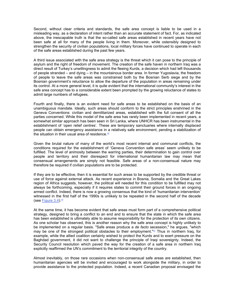Second, without clear criteria and standards, the safe area concept is liable to be used in a misleading way, as a declaration of intent rather than an accurate statement of fact. For, as indicated above, the inescapable truth is that the so-called safe areas established in recent years have not been safe at all for many of the people living in them. Moreover, while ostensibly designed to strengthen the security of civilian populations, local military forces have continued to operate in each of the safe areas established during the past few years.

A third issue associated with the safe area strategy is the threat which it can pose to the principle of asylum and the right of freedom of movement. The creation of the safe haven in northern Iraq was a direct result of Turkey's unwillingness to admit the fleeing Kurds, a decision which had left thousands of people stranded – and dying – in the mountainous border area. In former Yugoslavia, the freedom of people to leave the safe areas was constrained both by the Bosnian Serb siege and by the Bosnian government's reluctance to allow the departure of the population in areas remaining under its control. At a more general level, it is quite evident that the international community's interest in the safe area concept has to a considerable extent been prompted by the growing reluctance of states to admit large numbers of refugees.

Fourth and finally, there is an evident need for safe areas to be established on the basis of an unambiguous mandate. Ideally, such areas should conform to the strict principles enshrined in the Geneva Conventions: civilian and demilitarized areas, established with the full consent of all the parties concerned. While this model of the safe area has rarely been implemented in recent years, a somewhat similar approach has been seen in Sri Lanka, where UNHCR has been instrumental in the establishment of 'open relief centres'. These are temporary sanctuaries where internally displaced people can obtain emergency assistance in a relatively safe environment, pending a stabilization of the situation in their usual area of residence. $48$ 

Given the brutal nature of many of the world's most recent internal and communal conflicts, the conditions required for the establishment of 'Geneva Convention safe areas' seem unlikely to be fulfilled. The level of animosity between the warring parties, their determination to gain control over people and territory and their disrespect for international humanitarian law may mean that consensual arrangements are simply not feasible. Safe areas of a non-consensual nature may therefore be required if civilian populations are to be protected.

If they are to be effective, then it is essential for such areas to be supported by the credible threat or use of force against external attack. As recent experience in Bosnia, Somalia and the Great Lakes region of Africa suggests, however, the political will needed for this condition to be fulfilled may not always be forthcoming, especially if it requires states to commit their ground forces in an ongoing armed conflict. Indeed, there is now a growing consensus that the kind of 'humanitarian intervention' witnessed in the first half of the 1990s is unlikely to be repeated in the second half of the decade (see Figure  $3.4$ ).  $49$ 

At the same time, it has become evident that safe areas must form part of a comprehensive political strategy, designed to bring a conflict to an end and to ensure that the state in which the safe area has been established is ultimately able to assume responsibility for the protection of its own citizens. As one scholar has observed, this is another reason why the safe area concept is highly unlikely to be implemented on a regular basis. "Safe areas produce a *de facto* secession," he argues, "which may be one of the strongest political obstacles to their employment."<sup>[50](#page-22-0)</sup> Thus in northern Iraq, for example, while the allied coalition certainly wished to protect the Kurds and to exert pressure on the Baghdad government, it did not want to challenge the principle of Iraqi sovereignty. Indeed, the Security Council resolution which paved the way for the creation of a safe area in northern Iraq explicitly reaffirmed the UN's commitment to the territorial integrity of the country.

Almost inevitably, on those rare occasions when non-consensual safe areas are established, then humanitarian agencies will be invited and encouraged to work alongside the military, in order to provide assistance to the protected population. Indeed, a recent Canadian proposal envisaged the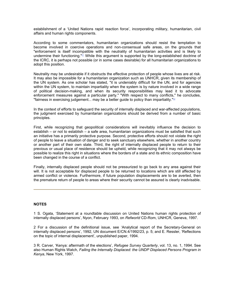<span id="page-19-0"></span>establishment of a 'United Nations rapid reaction force', incorporating military, humanitarian, civil affairs and human rights components.

According to some commentators, humanitarian organizations should resist the temptation to become involved in coercive operations and non-consensual safe areas, on the grounds that "enforcement is itself incompatible with the neutrality of humanitarian activities and is likely to undermine their functioning."<sup>[51](#page-22-0)</sup> While this argument is supported by the long-established doctrine of the ICRC, it is perhaps not possible (or in some cases desirable) for all humanitarian organizations to adopt this position.

Neutrality may be undesirable if it obstructs the effective protection of people whose lives are at risk. It may also be impossible for a humanitarian organization such as UNHCR, given its membership of the UN system. As one scholar has stated, "it is undeniably difficult for the UN, and for agencies within the UN system, to maintain impartiality when the system is by nature involved in a wide range of political decision-making, and when its security responsibilities may lead it to advocate enforcement measures against a particular party." "With respect to many conflicts," he concludes, "fairness in exercising judgement... may be a better quide to policy than impartiality." $52$ 

In the context of efforts to safeguard the security of internally displaced and war-affected populations, the judgment exercised by humanitarian organizations should be derived from a number of basic principles.

First, while recognizing that geopolitical considerations will inevitably influence the decision to establish – or not to establish – a safe area, humanitarian organizations must be satisfied that such an initiative has a primarily protective purpose. Second, protective efforts should not violate the right of people to leave a situation of danger and to seek sanctuary elsewhere, whether in another country or another part of their own state. Third, the right of internally displaced people to return to their previous or usual place of residence should be upheld, while recognizing that it may not always be possible to realize this right in situations where the borders of a state and its ethnic composition have been changed in the course of a conflict.

Finally, internally displaced people should not be pressurized to go back to any area against their will. It is not acceptable for displaced people to be returned to locations which are still affected by armed conflict or violence. Furthermore, if future population displacements are to be averted, then the premature return of people to areas where their security cannot be assured is clearly inadvisable.

#### **NOTES**

1 S. Ogata, 'Statement at a roundtable discussion on United Nations human rights protection of internally displaced persons', Nyon, February 1993, on *Refworld* CD-Rom, UNHCR, Geneva, 1997.

2 For a discussion of the definitional issue, see 'Analytical report of the Secretary-General on internally displaced persons', 1992, UN document E/CN.4/1992/23, p. 5; and E. Ressler, 'Reflections on the topic of internal displacement', unpublished paper, 1994.

3 R. Carver, 'Kenya: aftermath of the elections', *Refugee Survey Quarterly*, vol. 13, no. 1, 1994. See also Human Rights Watch, *Failing the Internally Displaced: the UNDP Displaced Persons Program in Kenya*, New York, 1997.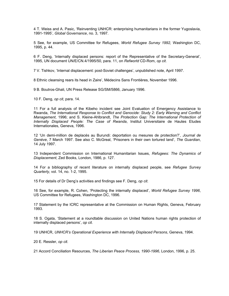<span id="page-20-0"></span>4 T. Weiss and A. Pasic, 'Reinventing UNHCR: enterprising humanitarians in the former Yugoslavia, 1991-1995', *Global Governance*, no. 3, 1997.

5 See, for example, US Committee for Refugees, *World Refugee Survey 1992,* Washington DC, 1995, p. 44.

6 F. Deng, 'Internally displaced persons: report of the Representative of the Secretary-General', 1995, UN document UN/E/CN.4/1995/50, para. 11, on *Refworld* CD-Rom, *op cit*.

7 V. Tishkov, 'Internal displacement: post-Soviet challenges', unpublished note, April 1997.

8 Ethnic cleansing rears its head in Zaire', Médecins Sans Frontières, November 1996.

9 B. Boutros-Ghali, UN Press Release SG/SM/5866, January 1996.

10 F. Deng, *op cit*, para. 14.

11 For a full analysis of the Kibeho incident see Joint Evaluation of Emergency Assistance to Rwanda, *The International Response to Conflict and Genocide: Study 2: Early Warning and Conflict Management*, 1996; and S. Kleine-Ahlbrandt, *The Protection Gap: The International Protection of Internally Displaced People: The Case of Rwanda*, Institut Universitaire de Hautes Etudes Internationales, Geneva, 1996.

12 'Un demi-million de deplacés au Burundi: deportation ou mesures de protection?', *Journal de Genève*, 7 March 1997. See also C. McGreal, 'Prisoners in their own tortured land', *The Guardian*, 14 July 1997.

13 Independent Commission on International Humanitarian Issues, *Refugees: The Dynamics of Displacement*, Zed Books, London, 1986, p. 127.

14 For a bibliography of recent literature on internally displaced people, see *Refugee Survey Quarterly*, vol. 14, no. 1-2, 1995.

15 For details of Dr Deng's activities and findings see F. Deng, *op cit*.

16 See, for example, R. Cohen, 'Protecting the internally displaced', *World Refugee Survey 1996*, US Committee for Refugees, Washington DC, 1996.

17 Statement by the ICRC representative at the Commission on Human Rights, Geneva, February 1993.

18 S. Ogata, 'Statement at a roundtable discussion on United Nations human rights protection of internally displaced persons', *op cit*.

19 UNHCR, *UNHCR's Operational Experience with Internally Displaced Persons*, Geneva, 1994.

20 E. Ressler, *op cit*.

21 Accord Conciliation Resources, *The Liberian Peace Process, 1990-1996*, London, 1996, p. 25.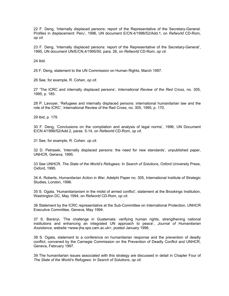<span id="page-21-0"></span>22 F. Deng, 'Internally displaced persons: report of the Representative of the Secretary-General. Profiles in displacement: Peru', 1996, UN document E/CN.4/1996/52/Add.1, on *Refworld* CD-Rom, *op cit*.

23 F. Deng, 'Internally displaced persons: report of the Representative of the Secretary-General', 1995, UN document UN/E/CN.4/1995/50, para. 26, on *Refworld* CD-Rom, *op cit*.

24 ibid.

25 F. Deng, statement to the UN Commission on Human Rights, March 1997.

26 See, for example, R. Cohen, *op cit*.

27 'The ICRC and internally displaced persons', *International Review of the Red Cross,* no. 305, 1995, p. 185.

28 P. Lavoyer, 'Refugees and internally displaced persons: international humanitarian law and the role of the ICRC', International Review of the Red Cross, no. 305, 1995, p. 170.

29 ibid, p. 179.

30 F. Deng, 'Conclusions on the compilation and analysis of legal norms', 1996, UN Document E/CN.4/1996/52/Add.2, paras. 5-14, on *Refworld* CD-Rom, *op cit*.

31 See, for example, R. Cohen. *op cit*.

32 D. Petrasek, 'Internally displaced persons: the need for new standards', unpublished paper, UNHCR, Geneva, 1995.

33 See UNHCR, *The State of the World's Refugees: In Search of Solutions*, Oxford University Press, Oxford, 1995.

34 A. Roberts, *Humanitarian Action in War*, Adelphi Paper no. 305, International Institute of Strategic Studies, London, 1996.

35 S. Ogata, 'Humanitarianism in the midst of armed conflict', statement at the Brookings Institution, Washington DC, May 1994, on *Refworld* CD-Rom, *op cit*.

36 Statement by the ICRC representative at the Sub-Committee on International Protection, UNHCR Executive Committee, Geneva, May 1994.

37 S. Baranyi, 'The challenge in Guatemala: verifying human rights, strengthening national institutions and enhancing an integrated UN approach to peace', *Journal of Humanitarian Assistance*, website <www-jha.sps.cam.ac.uk>, posted January 1996.

38 S. Ogata, statement to a conference on humanitarian response and the prevention of deadly conflict, convened by the Carnegie Commission on the Prevention of Deadly Conflict and UNHCR, Geneva, February 1997.

39 The humanitarian issues associated with this strategy are discussed in detail in Chapter Four of *The State of the World's Refugees: In Search of Solutions*, *op cit*.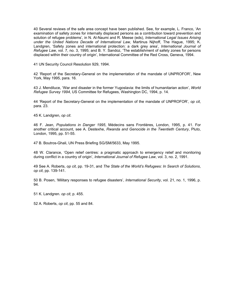<span id="page-22-0"></span>40 Several reviews of the safe area concept have been published. See, for example, L. Franco, 'An examination of safety zones for internally displaced persons as a contribution toward prevention and solution of refugee problems', in N. Al-Naumi and R. Meese (eds), *International Legal Issues Arising under the United Nations Decade of International Law,* Martinus Nijhoff, The Hague, 1995; K. Landgren, 'Safety zones and international protection: a dark grey area', *International Journal of Refugee Law*, vol. 7, no. 3, 1995; and B. Y. Sandoz, 'The establishment of safety zones for persons displaced within their country of origin', International Committee of the Red Cross, Geneva, 1994.

41 UN Security Council Resolution 929, 1994.

42 'Report of the Secretary-General on the implementation of the mandate of UNPROFOR', New York, May 1995, para. 16.

43 J. Mendiluce, 'War and disaster in the former Yugoslavia: the limits of humanitarian action', *World Refugee Survey 1994*, US Committee for Refugees, Washington DC, 1994, p. 14.

44 'Report of the Secretary-General on the implementation of the mandate of UNPROFOR', *op cit*, para. 23.

45 K. Landgren, *op cit*.

46 F. Jean, *Populations in Danger 1995*, Médecins sans Frontières, London, 1995, p. 41. For another critical account, see A. Destexhe, *Rwanda and Genocide in the Twentieth Century*, Pluto, London, 1995, pp. 51-55.

47 B. Boutros-Ghali, UN Press Briefing SG/SM/5633, May 1995.

48 W. Clarance, 'Open relief centres: a pragmatic approach to emergency relief and monitoring during conflict in a country of origin', *International Journal of Refugee Law*, vol. 3, no. 2, 1991.

49 See A. Roberts, *op cit*, pp. 19-31, and *The State of the World's Refugees: In Search of Solutions*, *op cit*, pp. 139-141.

50 B. Posen, 'Military responses to refugee disasters', *International Security*, vol. 21, no. 1, 1996, p. 94.

51 K. Landgren. *op cit*, p. 455.

52 A. Roberts, *op cit*, pp. 55 and 84.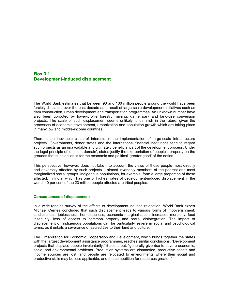### <span id="page-23-0"></span>**Box 3.1 Development-induced displacement**

The World Bank estimates that between 90 and 100 million people around the world have been forcibly displaced over the past decade as a result of large-scale development initiatives such as dam construction, urban development and transportation programmes. An unknown number have also been uprooted by lower-profile forestry, mining, game park and land-use conversion projects. The scale of such displacement seems unlikely to diminish in the future, given the processes of economic development, urbanization and population growth which are taking place in many low and middle-income countries.

There is an inevitable clash of interests in the implementation of large-scale infrastructure projects. Governments, donor states and the international financial institutions tend to regard such projects as an unavoidable and ultimately beneficial part of the development process. Under the legal principle of 'eminent domain', states justify the expropriation of people's property on the grounds that such action is for the economic and political 'greater good' of the nation.

This perspective, however, does not take into account the views of those people most directly and adversely affected by such projects – almost invariably members of the poorest and most marginalized social groups. Indigenous populations, for example, form a large proportion of those affected. In India, which has one of highest rates of development-induced displacement in the world, 40 per cent of the 23 million people affected are tribal peoples.

#### **Consequences of displacement**

In a wide-ranging survey of the effects of development-induced relocation, World Bank expert Michael Cernea concluded that such displacement leads to various forms of impoverishment: landlessness, joblessness, homelessness, economic marginalization, increased morbidity, food insecurity, loss of access to common property and social disintegration. The impact of displacement on indigenous populations can be particularly severe in social and psychological terms, as it entails a severance of sacred ties to their land and culture.

The Organization for Economic Cooperation and Development, which brings together the states with the largest development assistance programmes, reaches similar conclusions. "Development projects that displace people involuntarily," it points out, "generally give rise to severe economic, social and environmental problems. Production systems are dismantled, productive assets and income sources are lost, and people are relocated to environments where their social and productive skills may be less applicable, and the competition for resources greater."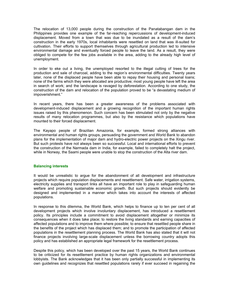The relocation of 13,000 people during the construction of the Panatabangan dam in the Philippines provides one example of the far-reaching repercussions of development-induced displacement. Moved from a town that was due to be inundated as a result of the dam's construction in the early 1970s, local inhabitants were resettled on land that was ill-suited for cultivation. Their efforts to support themselves through agricultural production led to intensive environmental damage and eventually forced people to leave the land. As a result, they were obliged to compete for the few jobs available in the area, adding to the already high level of unemployment.

In order to eke out a living, the unemployed resorted to the illegal cutting of trees for the production and sale of charcoal, adding to the region's environmental difficulties. Twenty years later, none of the displaced people have been able to repay their housing and personal loans; none of the farms which they were allocated are productive; most young people have left the area in search of work; and the landscape is ravaged by deforestation. According to one study, the construction of the dam and relocation of the population proved to be "a devastating medium of impoverishment."

In recent years, there has been a greater awareness of the problems associated with development-induced displacement and a growing recognition of the important human rights issues raised by this phenomenon. Such concern has been stimulated not only by the negative results of many relocation programmes, but also by the resistance which populations have mounted to their forced displacement.

The Kayapo people of Brazilian Amazonia, for example, formed strong alliances with environmental and human rights groups, persuading the government and World Bank to abandon plans for the implementation of major dam and hydro-electric power projects on the Xingu river. But such protests have not always been so successful. Local and international efforts to prevent the construction of the Narmada dam in India, for example, failed to completely halt the project, while in Norway, the Saami people were unable to stop the construction of the Alta river dam.

#### **Balancing interests**

It would be unrealistic to argue for the abandonment of all development and infrastructure projects which require population displacements and resettlement. Safe water, irrigation systems, electricity supplies and transport links all have an important role to play in safeguarding human welfare and promoting sustainable economic growth. But such projects should evidently be designed and implemented in a manner which takes into account the interests of affected populations.

In response to this dilemma, the World Bank, which helps to finance up to ten per cent of all development projects which involve involuntary displacement, has introduced a resettlement policy. Its principles include a commitment to avoid displacement altogether or minimize its consequences when it does take place; to restore the living standards and earning capacities of affected populations and to improve them where possible; to ensure that resettled people share in the benefits of the project which has displaced them; and to promote the participation of affected populations in the resettlement planning process. The World Bank has also stated that it will not finance projects involving large-scale displacement unless the borrowing country adopts this policy and has established an appropriate legal framework for the resettlement process.

Despite this policy, which has been developed over the past 15 years, the World Bank continues to be criticized for its resettlement practice by human rights organizations and environmental lobbyists. The Bank acknowledges that it has been only partially successful in implementing its own guidelines and recognizes that resettled populations rarely if ever succeed in regaining the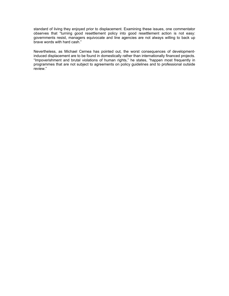standard of living they enjoyed prior to displacement. Examining these issues, one commentator observes that "turning good resettlement policy into good resettlement action is not easy: governments resist, managers equivocate and line agencies are not always willing to back up brave words with hard cash."

Nevertheless, as Michael Cernea has pointed out, the worst consequences of developmentinduced displacement are to be found in domestically rather than internationally financed projects. "Impoverishment and brutal violations of human rights," he states, "happen most frequently in programmes that are not subject to agreements on policy guidelines and to professional outside review."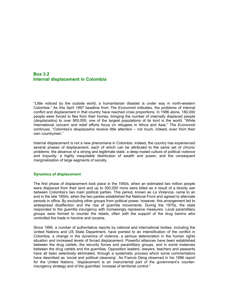# <span id="page-26-0"></span>**Box 3.2 Internal displacement in Colombia**

"Little noticed by the outside world, a humanitarian disaster is under way in north-western Colombia." As this April 1997 headline from *The Economist* indicates, the problems of internal conflict and displacement in that country have reached crisis proportions. In 1996 alone, 180,000 people were forced to flee from their homes, bringing the number of internally displaced people (*desplazados*) to over 900,000, one of the largest populations of its kind in the world. "While international concern and relief efforts focus on refugees in Africa and Asia," *The Economist* continues, "Colombia's *desplazados* receive little attention – not much, indeed, even from their own countrymen."

Internal displacement is not a new phenomena in Colombia. Indeed, the country has experienced several phases of displacement, each of which can be attributed to the same set of chronic problems: the absence of a strong and legitimate state; a deep-rooted culture of political violence and impunity; a highly inequitable distribution of wealth and power; and the consequent marginalization of large segments of society.

#### **Dynamics of displacement**

The first phase of displacement took place in the 1950s, when an estimated two million people were displaced from their land and up to 300,000 more were killed as a result of a bloody war between Colombia's two main political parties. This period, known as *La Violencia*, came to an end in the late 1950s, when the two parties established the National Front and agreed to alternate periods in office. By excluding other groups from political power, however, this arrangement led to widespread disaffection and the rise of guerrilla movements. During the 1970s, the state responded to the guerrilla insurgency with increasingly repressive measures. Local paramilitary groups were formed to counter the rebels, often with the support of the drug barons who controlled the trade in heroine and cocaine.

Since 1995, a number of authoritative reports by national and international bodies, including the United Nations and US State Department, have pointed to an intensification of the conflict in Colombia, a change in the dynamics of violence, a serious deterioration in the human rights situation and increased levels of forced displacement. Powerful alliances have been established between the drug cartels, the security forces and paramilitary groups, and in some instances between the drug cartels and the guerrillas. Opposition leaders, lawyers, teachers and peasants have all been selectively eliminated, through a systematic process which some commentators have described as 'social and political cleansing'. As Francis Deng observed in his 1996 report for the United Nations, "displacement is an instrumental part of the government's counterinsurgency strategy and of the guerrillas' increase of territorial control."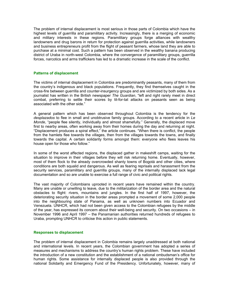The problem of internal displacement is most serious in those parts of Colombia which have the highest levels of guerrilla and paramilitary activity. Increasingly, there is a merging of economic and military interests in these regions. Paramilitary groups forge alliances with wealthy landowners and drug barons in return for protection against guerrilla activities, while landowners and business entrepreneurs profit from the flight of peasant farmers, whose land they are able to purchase at a minimal cost. Such a pattern has been observed in the wealthy banana producing district of Uraba in north-west Colombia, where the convergence of paramilitary groups, guerrilla forces, narcotics and arms traffickers has led to a dramatic increase in the scale of the conflict.

#### **Patterns of displacement**

The victims of internal displacement in Colombia are predominantly peasants, many of them from the country's indigenous and black populations. Frequently, they find themselves caught in the cross-fire between guerrilla and counter-insurgency groups and are victimized by both sides. As a journalist has written in the British newspaper *The Guardian*, "left and right rarely meet in direct combat, preferring to settle their scores by tit-for-tat attacks on peasants seen as being associated with the other side."

A general pattern which has been observed throughout Colombia is the tendency for the *desplazados* to flee in small and unobtrusive family groups. According to a recent article in *Le Monde*, "people flee silently, individually and almost shamefully." Generally, the displaced move first to nearby areas, often working away from their homes during the day and returning at night. "Displacement produces a spiral effect," the article continues. "When there is conflict, the people from the hamlets flee towards the villages, then from the villages towards the towns, and finally towards the capital. A certain solidarity forms amongst them: everyone who flees leaves his house open for those who follow."

In some of the worst affected regions, the displaced gather in makeshift camps, waiting for the situation to improve in their villages before they will risk returning home. Eventually, however, most of them flock to the already overcrowded shanty towns of Bogotá and other cities, where conditions are both squalid and dangerous. As well as fearing reprisals and harassment from the security services, paramilitary and guerrilla groups, many of the internally displaced lack legal documentation and so are unable to exercise a full range of civic and political rights.

The vast majority of Colombians uprooted in recent years have remained within the country. Many are unable or unwilling to leave, due to the militarization of the border area and the natural obstacles to flight: rivers, mountains and jungles. In the first half of 1997, however, the deteriorating security situation in the border areas prompted a movement of some 2,000 people into the neighbouring state of Panama, as well as unknown numbers into Ecuador and Venezuela. UNHCR, which had not been given access to the Colombian refugees by the middle of the year, has expressed its concern about their well-being and security. On two occasions – in November 1996 and April 1997 – the Panamanian authorities returned hundreds of refugees to Uraba, prompting UNHCR to criticise this action in public statements.

#### **Responses to displacement**

The problem of internal displacement in Colombia remains largely unaddressed at both national and international levels. In recent years, the Colombian government has adopted a series of measures and mechanisms to address the country's human rights problem. These have included the introduction of a new constitution and the establishment of a national ombudsman's office for human rights. Some assistance for internally displaced people is also provided through the national Solidarity and Emergency Fund of the Presidency. Unfortunately, however, many of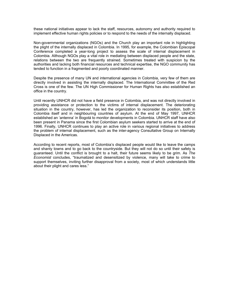these national initiatives appear to lack the staff, resources, autonomy and authority required to implement effective human rights policies or to respond to the needs of the internally displaced.

Non-governmental organizations (NGOs) and the Church play an important role in highlighting the plight of the internally displaced in Colombia. In 1995, for example, the Colombian Episcopal Conference completed a year-long project to assess the scale of internal displacement in Colombia. Although NGOs play a vital role in mediating between displaced people and the state, relations between the two are frequently strained. Sometimes treated with suspicion by the authorities and lacking both financial resources and technical expertise, the NGO community has tended to function in a fragmented and poorly coordinated manner.

Despite the presence of many UN and international agencies in Colombia, very few of them are directly involved in assisting the internally displaced. The International Committee of the Red Cross is one of the few. The UN High Commissioner for Human Rights has also established an office in the country.

Until recently UNHCR did not have a field presence in Colombia, and was not directly involved in providing assistance or protection to the victims of internal displacement. The deteriorating situation in the country, however, has led the organization to reconsider its position, both in Colombia itself and in neighbouring countries of asylum. At the end of May 1997, UNHCR established an 'antenna' in Bogotá to monitor developments in Colombia. UNHCR staff have also been present in Panama since the first Colombian asylum seekers started to arrive at the end of 1996. Finally, UNHCR continues to play an active role in various regional initiatives to address the problem of internal displacement, such as the inter-agency Consultative Group on Internally Displaced in the Americas.

According to recent reports, most of Colombia's displaced people would like to leave the camps and shanty towns and to go back to the countryside. But they will not do so until their safety is guaranteed. Until the conflict is brought to a halt, their future seems likely to be grim. As *The Economist* concludes, "traumatized and desensitized by violence, many will take to crime to support themselves, inviting further disapproval from a society, most of which understands little about their plight and cares less."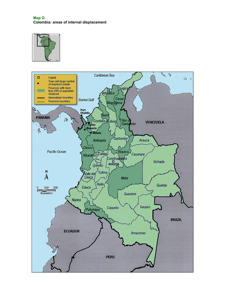#### **Map G Colombia: areas of internal displacement**



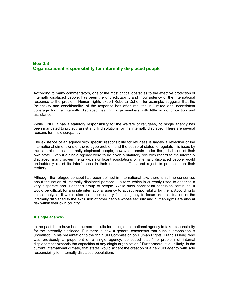# <span id="page-30-0"></span>**Box 3.3 Organizational responsibility for internally displaced people**

According to many commentators, one of the most critical obstacles to the effective protection of internally displaced people, has been the unpredictability and inconsistency of the international response to the problem. Human rights expert Roberta Cohen, for example, suggests that the "selectivity and conditionality" of the response has often resulted in "limited and inconsistent coverage for the internally displaced, leaving large numbers with little or no protection and assistance."

While UNHCR has a statutory responsibility for the welfare of refugees, no single agency has been mandated to protect, assist and find solutions for the internally displaced. There are several reasons for this discrepancy.

The existence of an agency with specific responsibility for refugees is largely a reflection of the international dimensions of the refugee problem and the desire of states to regulate this issue by multilateral means. Internally displaced people, however, remain under the jurisdiction of their own state. Even if a single agency were to be given a statutory role with regard to the internally displaced, many governments with significant populations of internally displaced people would undoubtedly resist its interference in their domestic affairs and reject its presence on their territory.

Although the refugee concept has been defined in international law, there is still no consensus about the notion of internally displaced persons – a term which is currently used to describe a very disparate and ill-defined group of people. While such conceptual confusion continues, it would be difficult for a single international agency to accept responsibility for them. According to some analysts, it would also be discriminatory for an agency to focus on the situation of the internally displaced to the exclusion of other people whose security and human rights are also at risk within their own country.

#### **A single agency?**

In the past there have been numerous calls for a single international agency to take responsibility for the internally displaced. But there is now a general consensus that such a proposition is unrealistic. In his presentation to the 1997 UN Commission on Human Rights, Francis Deng, who was previously a proponent of a single agency, conceded that "the problem of internal displacement exceeds the capacities of any single organization." Furthermore, it is unlikely, in the current international climate, that states would accept the creation of a new UN agency with sole responsibility for internally displaced populations.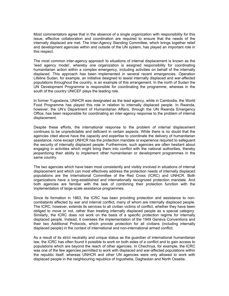Most commentators agree that in the absence of a single organization with responsibility for this issue, effective collaboration and coordination are required to ensure that the needs of the internally displaced are met. The Inter-Agency Standing Committee, which brings together relief and development agencies within and outside of the UN system, has played an important role in this respect.

The most common inter-agency approach to situations of internal displacement is known as the 'lead agency model', whereby one organization is assigned responsibility for coordinating humanitarian action within a complex emergency, including activities on behalf of the internally displaced. This approach has been implemented in several recent emergencies. Operation Lifeline Sudan, for example, an initiative designed to assist internally displaced and war-affected populations throughout the country, is an example of this arrangement. In the north of Sudan the UN Development Programme is responsible for coordinating the programme, whereas in the south of the country UNICEF plays the leading role.

In former Yugoslavia, UNHCR was designated as the lead agency, while in Cambodia, the World Food Programme has played this role in relation to internally displaced people. In Rwanda, however, the UN's Department of Humanitarian Affairs, through the UN Rwanda Emergency Office, has been responsible for coordinating an inter-agency response to the problem of internal displacement.

Despite these efforts, the international response to the problem of internal displacement continues to be unpredictable and deficient in certain aspects. While there is no doubt that the agencies cited above have the capacity and expertise to coordinate the delivery of humanitarian assistance, none except UNHCR has the protection mandate or experience required to safeguard the security of internally displaced people. Furthermore, such agencies are often hesitant about engaging in activities which might bring them into conflict with the national authorities, thereby jeopardizing their ability to implement other humanitarian or development programmes in the same country.

The two agencies which have been most consistently and visibly involved in situations of internal displacement and which can most effectively address the protection needs of internally displaced populations are the International Committee of the Red Cross (ICRC) and UNHCR. Both organizations have a long-established and internationally recognized protection mandate. And both agencies are familiar with the task of combining their protection function with the implementation of large-scale assistance programmes.

Since its formation in 1863, the ICRC has been providing protection and assistance to noncombatants affected by war and internal conflict, many of whom are internally displaced people. The ICRC, however, extends its services to all civilian victims of conflict, whether they have been obliged to move or not, rather than treating internally displaced people as a special category. Similarly, the ICRC does not work on the basis of a specific protection regime for internally displaced people. Instead, it oversees the implementation of the 1949 Geneva Conventions and their two Additional Protocols, which provide protection for all civilians (including internally displaced people) in the context of international and non-international armed conflict.

As a result of its strict neutrality and unique status as the guardian of international humanitarian law, the ICRC has often found it possible to work on both sides of a conflict and to gain access to populations which are beyond the reach of other agencies. In Chechnya, for example, the ICRC was one of the few agencies permitted to work with displaced and war-affected populations within the republic itself, whereas UNHCR and other UN agencies were only allowed to work with displaced people in the neighbouring republics of Ingushetia, Daghestan and North Ossetia.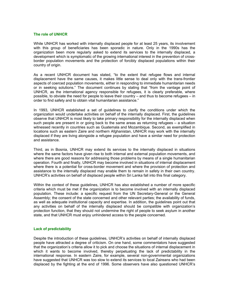#### **The role of UNHCR**

While UNHCR has worked with internally displaced people for at least 25 years, its involvement with this group of beneficiaries has been sporadic in nature. Only in the 1990s has the organization been more regularly asked to extend its services to the internally displaced, a development which is symptomatic of the growing international interest in the prevention of crossborder population movements and the protection of forcibly displaced populations within their country of origin.

As a recent UNHCR document has stated, "to the extent that refugee flows and internal displacement have the same causes, it makes little sense to deal only with the trans-frontier aspects of coerced population movements, either in responding to immediate humanitarian needs or in seeking solutions." The document continues by stating that "from the vantage point of UNHCR, as the international agency responsible for refugees, it is clearly preferable, where possible, to obviate the need for people to leave their country – and thus to become refugees – in order to find safety and to obtain vital humanitarian assistance."

In 1993, UNHCR established a set of guidelines to clarify the conditions under which the organization would undertake activities on behalf of the internally displaced. First, the guidelines observe that UNHCR is most likely to take primary responsibility for the internally displaced when such people are present in or going back to the same areas as returning refugees – a situation witnessed recently in countries such as Guatemala and Mozambique. Second, as exemplified in locations such as eastern Zaire and northern Afghanistan, UNHCR may work with the internally displaced if they are living alongside a refugee population and have a similar need for protection and assistance.

Third, as in Bosnia, UNHCR may extend its services to the internally displaced in situations where the same factors have given rise to both internal and external population movements, and where there are good reasons for addressing those problems by means of a single humanitarian operation. Fourth and finally, UNHCR may become involved in situations of internal displacement where there is a potential for cross-border movement and where the provision of protection and assistance to the internally displaced may enable them to remain in safety in their own country. UNHCR's activities on behalf of displaced people within Sri Lanka fall into this final category.

Within the context of these guidelines, UNHCR has also established a number of more specific criteria which must be met if the organization is to become involved with an internally displaced population. These include: a specific request from the UN Secretary-General or the General Assembly; the consent of the state concerned and other relevant parties; the availability of funds, as well as adequate institutional capacity and expertise. In addition, the guidelines point out that any activities on behalf of the internally displaced should be compatible with organization's protection function, that they should not undermine the right of people to seek asylum in another state, and that UNHCR must enjoy unhindered access to the people concerned.

#### **Lack of predictability**

Despite the introduction of these guidelines, UNHCR's activities on behalf of internally displaced people have attracted a degree of criticism. On one hand, some commentators have suggested that the organization's criteria allow it to pick and choose the situations of internal displacement in which it wants to become involved, thereby perpetuating the lack of predictability in the international response. In eastern Zaire, for example, several non-governmental organizations have suggested that UNHCR was too slow to extend its services to local Zaireans who had been displaced by the fighting at the end of 1996. Some observers have also questioned UNHCR's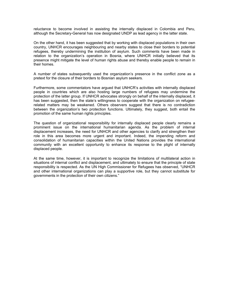reluctance to become involved in assisting the internally displaced in Colombia and Peru, although the Secretary-General has now designated UNDP as lead agency in the latter state.

On the other hand, it has been suggested that by working with displaced populations in their own country, UNHCR encourages neighbouring and nearby states to close their borders to potential refugees, thereby undermining the institution of asylum. Such comments have been made in relation to the organization's operation in Bosnia, where UNHCR initially believed that its presence might mitigate the level of human rights abuse and thereby enable people to remain in their homes.

A number of states subsequently used the organization's presence in the conflict zone as a pretext for the closure of their borders to Bosnian asylum seekers.

Furthermore, some commentators have argued that UNHCR's activities with internally displaced people in countries which are also hosting large numbers of refugees may undermine the protection of the latter group. If UNHCR advocates strongly on behalf of the internally displaced, it has been suggested, then the state's willingness to cooperate with the organization on refugeerelated matters may be weakened. Others observers suggest that there is no contradiction between the organization's two protection functions. Ultimately, they suggest, both entail the promotion of the same human rights principles.

The question of organizational responsibility for internally displaced people clearly remains a prominent issue on the international humanitarian agenda. As the problem of internal displacement increases, the need for UNHCR and other agencies to clarify and strengthen their role in this area becomes more urgent and important. Indeed, the impending reform and consolidation of humanitarian capacities within the United Nations provides the international community with an excellent opportunity to enhance its response to the plight of internally displaced people.

At the same time, however, it is important to recognize the limitations of multilateral action in situations of internal conflict and displacement, and ultimately to ensure that the principle of state responsibility is respected. As the UN High Commissioner for Refugees has observed, "UNHCR and other international organizations can play a supportive role, but they cannot substitute for governments in the protection of their own citizens."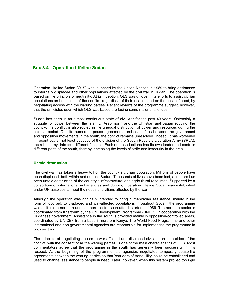# <span id="page-34-0"></span>**Box 3.4 - Operation Lifeline Sudan**

Operation Lifeline Sudan (OLS) was launched by the United Nations in 1989 to bring assistance to internally displaced and other populations affected by the civil war in Sudan. The operation is based on the principle of neutrality. At its inception, OLS was unique in its efforts to assist civilian populations on both sides of the conflict, regardless of their location and on the basis of need, by negotiating access with the warring parties. Recent reviews of the programme suggest, however, that the principles upon which OLS was based are facing some major challenges.

Sudan has been in an almost continuous state of civil war for the past 40 years. Ostensibly a struggle for power between the Islamic, 'Arab' north and the Christian and pagan south of the country, the conflict is also rooted in the unequal distribution of power and resources during the colonial period. Despite numerous peace agreements and cease-fires between the government and opposition movements in the south, the conflict remains unresolved. Indeed, it has worsened in recent years, not least because of the division of the Sudan People's Liberation Army (SPLA), the rebel army, into four different factions. Each of these factions has its own leader and controls different parts of the south, thereby increasing the levels of strife and insecurity in the area.

#### **Untold destruction**

The civil war has taken a heavy toll on the country's civilian population. Millions of people have been displaced, both within and outside Sudan. Thousands of lives have been lost, and there has been untold destruction of the country's infrastructural and agricultural resources. Supported by a consortium of international aid agencies and donors, Operation Lifeline Sudan was established under UN auspices to meet the needs of civilians affected by the war.

Although the operation was originally intended to bring humanitarian assistance, mainly in the form of food aid, to displaced and war-affected populations throughout Sudan, the programme was split into a northern and southern sector soon after it started in 1989. The northern sector is coordinated from Khartoum by the UN Development Programme (UNDP), in cooperation with the Sudanese government. Assistance in the south is provided mainly in opposition-controlled areas, coordinated by UNICEF from a base in northern Kenya. The World Food Programme and other international and non-governmental agencies are responsible for implementing the programme in both sectors.

The principle of negotiating access to war-affected and displaced civilians on both sides of the conflict, with the consent of all the warring parties, is one of the main characteristics of OLS. Most commentators agree that the programme in the south has generally been successful in this respect. At the beginning of the programme, aid agencies negotiated temporary cease-fire agreements between the warring parties so that 'corridors of tranquillity' could be established and used to channel assistance to people in need. Later, however, when this system proved too rigid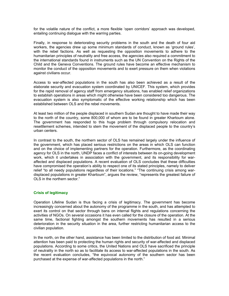for the volatile nature of the conflict, a more flexible 'open corridors' approach was developed, entailing continuing dialogue with the warring parties.

Finally, in response to deteriorating security problems in the south and the death of four aid workers, the agencies drew up some minimum standards of conduct, known as 'ground rules', with the rebel factions. As well as requesting the opposition movements to adhere to the humanitarian principles of neutrality and free access, the agencies also required a commitment to the international standards found in instruments such as the UN Convention on the Rights of the Child and the Geneva Conventions. The ground rules have become an effective mechanism to monitor the conduct of the opposition movements and to exert pressure on them when violations against civilians occur.

Access to war-affected populations in the south has also been achieved as a result of the elaborate security and evacuation system coordinated by UNICEF. This system, which provides for the rapid removal of agency staff from emergency situations, has enabled relief organizations to establish operations in areas which might otherwise have been considered too dangerous. The evacuation system is also symptomatic of the effective working relationship which has been established between OLS and the rebel movements.

At least two million of the people displaced in southern Sudan are thought to have made their way to the north of the country, some 800,000 of whom are to be found in greater Khartoum alone. The government has responded to this huge problem through compulsory relocation and resettlement schemes, intended to stem the movement of the displaced people to the country's urban centers.

In contrast to the south, the northern sector of OLS has remained largely under the influence of the government, which has placed serious restrictions on the areas in which OLS can function and on the choice of implementing partners for the operation. Furthermore, as the coordinating agency for OLS in the north, UNDP faces a conflict of interests between its on-going development work, which it undertakes in association with the government, and its responsibility for waraffected and displaced populations. A recent evaluation of OLS concludes that these difficulties have compromised the operation's ability to respect one of its stated principles, namely to deliver relief "to all needy populations regardless of their locations." "The continuing crisis among wardisplaced populations in greater Khartoum", argues the review, "represents the greatest failure of OLS in the northern sector."

#### **Crisis of legitimacy**

Operation Lifeline Sudan is thus facing a crisis of legitimacy. The government has become increasingly concerned about the autonomy of the programme in the south, and has attempted to exert its control on that sector through bans on internal flights and regulations concerning the activities of NGOs. On several occasions it has even called for the closure of the operation. At the same time, factional fighting amongst the southern movements has resulted in a serious deterioration in the security situation in the area, further restricting humanitarian access to the civilian population.

In the north, on the other hand, assistance has been limited to the distribution of food aid. Minimal attention has been paid to protecting the human rights and security of war-affected and displaced populations. According to some critics, the United Nations and OLS have sacrificed the principle of neutrality in the north so as to facilitate its access to war-affected populations in the south. As the recent evaluation concludes, "the equivocal autonomy of the southern sector has been purchased at the expense of war-affected populations in the north."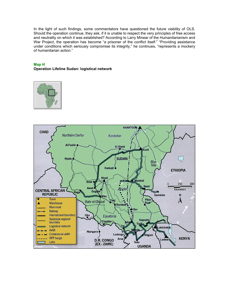In the light of such findings, some commentators have questioned the future viability of OLS. Should the operation continue, they ask, if it is unable to respect the very principles of free access and neutrality on which it was established? According to Larry Minear of the Humanitarianism and War Project, the operation has become "a prisoner of the conflict itself." "Providing assistance under conditions which seriously compromise its integrity," he continues, "represents a mockery of humanitarian action."

#### **Map H Operation Lifeline Sudan: logistical network**



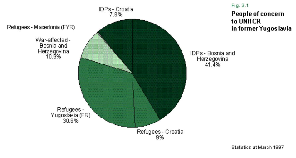

Fig. 3.1

**People of concern** to UNHCR in former Yugos lavia

Statistics at March 1997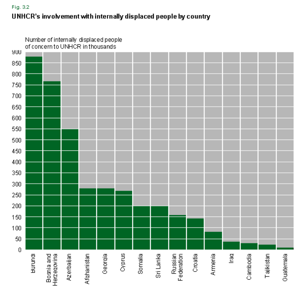# Fig. 3.2 UNHCR's involvement with internally displaced people by country

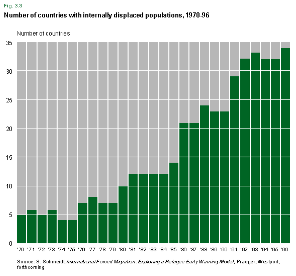# Fig. 3.3 Number of countries with internally displaced populations, 1970-96

Number of countries



Source: S. Schmeidl, International Forced Migration: Exploring a Refugee Early Warning Model, Praeger, Westport, forthcoming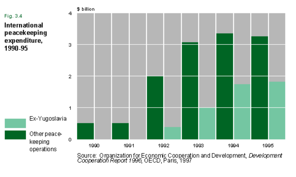